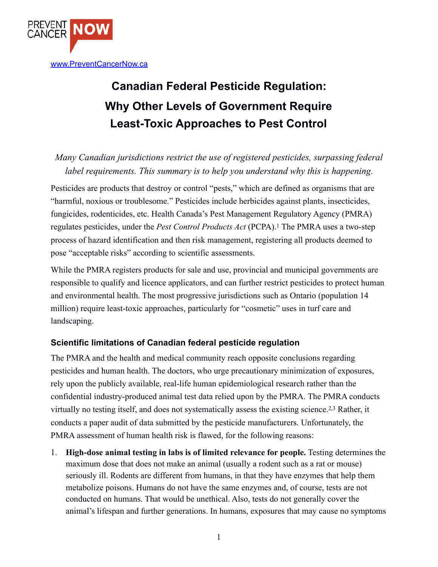

## **Canadian Federal Pesticide Regulation: Why Other Levels of Government Require Least-Toxic Approaches to Pest Control**

*Many Canadian jurisdictions restrict the use of registered pesticides, surpassing federal label requirements. This summary is to help you understand why this is happening.* 

Pesticides are products that destroy or control "pests," which are defined as organisms that are "harmful, noxious or troublesome." Pesticides include herbicides against plants, insecticides, fungicides, rodenticides, etc. Health Canada's Pest Management Regulatory Agency (PMRA) regulates pesticides, under the *Pest Control Products Act* (PCPA).1 The PMRA uses a two-step process of hazard identification and then risk management, registering all products deemed to pose "acceptable risks" according to scientific assessments.

While the PMRA registers products for sale and use, provincial and municipal governments are responsible to qualify and licence applicators, and can further restrict pesticides to protect human and environmental health. The most progressive jurisdictions such as Ontario (population 14 million) require least-toxic approaches, particularly for "cosmetic" uses in turf care and landscaping.

## **Scientific limitations of Canadian federal pesticide regulation**

The PMRA and the health and medical community reach opposite conclusions regarding pesticides and human health. The doctors, who urge precautionary minimization of exposures, rely upon the publicly available, real-life human epidemiological research rather than the confidential industry-produced animal test data relied upon by the PMRA. The PMRA conducts virtually no testing itself, and does not systematically assess the existing science.2,3 Rather, it conducts a paper audit of data submitted by the pesticide manufacturers. Unfortunately, the PMRA assessment of human health risk is flawed, for the following reasons:

1. **High-dose animal testing in labs is of limited relevance for people.** Testing determines the maximum dose that does not make an animal (usually a rodent such as a rat or mouse) seriously ill. Rodents are different from humans, in that they have enzymes that help them metabolize poisons. Humans do not have the same enzymes and, of course, tests are not conducted on humans. That would be unethical. Also, tests do not generally cover the animal's lifespan and further generations. In humans, exposures that may cause no symptoms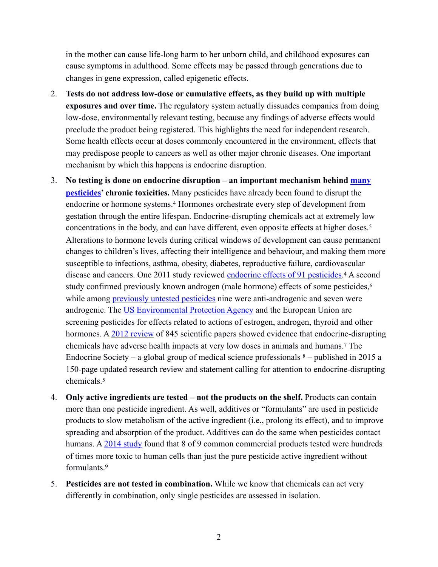in the mother can cause life-long harm to her unborn child, and childhood exposures can cause symptoms in adulthood. Some effects may be passed through generations due to changes in gene expression, called epigenetic effects.

- 2. **Tests do not address low-dose or cumulative effects, as they build up with multiple exposures and over time.** The regulatory system actually dissuades companies from doing low-dose, environmentally relevant testing, because any findings of adverse effects would preclude the product being registered. This highlights the need for independent research. Some health effects occur at doses commonly encountered in the environment, effects that may predispose people to cancers as well as other major chronic diseases. One important mechanism by which this happens is endocrine disruption.
- 3. **No testing is done on endocrine disruption an important mechanism behind [many](http://www.ncbi.nlm.nih.gov/pmc/articles/PMC3138025/)  [pesticides](http://www.ncbi.nlm.nih.gov/pmc/articles/PMC3138025/)' chronic toxicities.** Many pesticides have already been found to disrupt the endocrine or hormone systems.4 Hormones orchestrate every step of development from gestation through the entire lifespan. Endocrine-disrupting chemicals act at extremely low concentrations in the body, and can have different, even opposite effects at higher doses.5 Alterations to hormone levels during critical windows of development can cause permanent changes to children's lives, affecting their intelligence and behaviour, and making them more susceptible to infections, asthma, obesity, diabetes, reproductive failure, cardiovascular disease and cancers. One 2011 study reviewed [endocrine effects of 91 pesticides.](http://www.ncbi.nlm.nih.gov/pmc/articles/PMC3138025/)<sup>4</sup> A second study confirmed previously known androgen (male hormone) effects of some pesticides,<sup>6</sup> while among **previously** untested pesticides nine were anti-androgenic and seven were androgenic. The [US Environmental Protection Agency](http://www.epa.gov/endo/) and the European Union are screening pesticides for effects related to actions of estrogen, androgen, thyroid and other hormones. A [2012 review](http://www.ncbi.nlm.nih.gov/pmc/articles/PMC3365860/) of 845 scientific papers showed evidence that endocrine-disrupting chemicals have adverse health impacts at very low doses in animals and humans.7 The Endocrine Society – a global group of medical science professionals  $8$  – published in 2015 a 150-page updated research review and statement calling for attention to endocrine-disrupting chemicals.5
- 4. **Only active ingredients are tested not the products on the shelf.** Products can contain more than one pesticide ingredient. As well, additives or "formulants" are used in pesticide products to slow metabolism of the active ingredient (i.e., prolong its effect), and to improve spreading and absorption of the product. Additives can do the same when pesticides contact humans. A [2014 study](http://www.hindawi.com/journals/bmri/2014/179691/) found that 8 of 9 common commercial products tested were hundreds of times more toxic to human cells than just the pure pesticide active ingredient without formulants<sup>9</sup>
- 5. **Pesticides are not tested in combination.** While we know that chemicals can act very differently in combination, only single pesticides are assessed in isolation.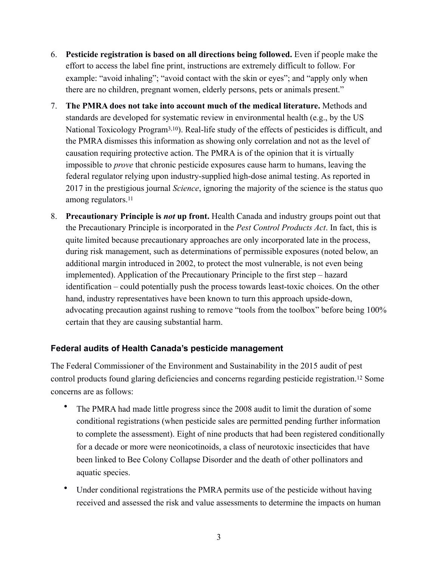- 6. **Pesticide registration is based on all directions being followed.** Even if people make the effort to access the label fine print, instructions are extremely difficult to follow. For example: "avoid inhaling"; "avoid contact with the skin or eyes"; and "apply only when there are no children, pregnant women, elderly persons, pets or animals present."
- 7. **The PMRA does not take into account much of the medical literature.** Methods and standards are developed for systematic review in environmental health (e.g., by the US National Toxicology Program3,10). Real-life study of the effects of pesticides is difficult, and the PMRA dismisses this information as showing only correlation and not as the level of causation requiring protective action. The PMRA is of the opinion that it is virtually impossible to *prove* that chronic pesticide exposures cause harm to humans, leaving the federal regulator relying upon industry-supplied high-dose animal testing. As reported in 2017 in the prestigious journal *Science*, ignoring the majority of the science is the status quo among regulators.11
- 8. **Precautionary Principle is** *not* **up front.** Health Canada and industry groups point out that the Precautionary Principle is incorporated in the *Pest Control Products Act*. In fact, this is quite limited because precautionary approaches are only incorporated late in the process, during risk management, such as determinations of permissible exposures (noted below, an additional margin introduced in 2002, to protect the most vulnerable, is not even being implemented). Application of the Precautionary Principle to the first step – hazard identification – could potentially push the process towards least-toxic choices. On the other hand, industry representatives have been known to turn this approach upside-down, advocating precaution against rushing to remove "tools from the toolbox" before being 100% certain that they are causing substantial harm.

## **Federal audits of Health Canada's pesticide management**

The Federal Commissioner of the Environment and Sustainability in the 2015 audit of pest control products found glaring deficiencies and concerns regarding pesticide registration.12 Some concerns are as follows:

- The PMRA had made little progress since the 2008 audit to limit the duration of some conditional registrations (when pesticide sales are permitted pending further information to complete the assessment). Eight of nine products that had been registered conditionally for a decade or more were neonicotinoids, a class of neurotoxic insecticides that have been linked to Bee Colony Collapse Disorder and the death of other pollinators and aquatic species.
- Under conditional registrations the PMRA permits use of the pesticide without having received and assessed the risk and value assessments to determine the impacts on human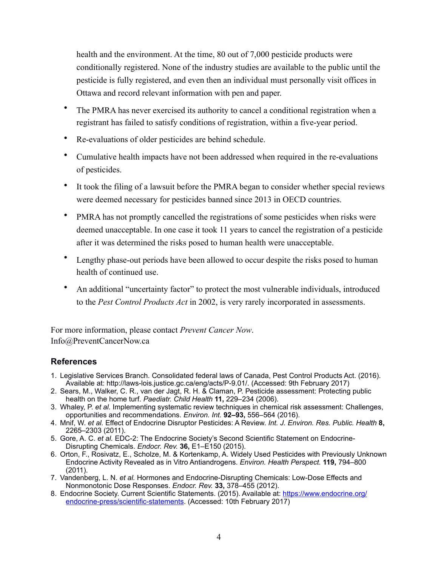health and the environment. At the time, 80 out of 7,000 pesticide products were conditionally registered. None of the industry studies are available to the public until the pesticide is fully registered, and even then an individual must personally visit offices in Ottawa and record relevant information with pen and paper.

- The PMRA has never exercised its authority to cancel a conditional registration when a registrant has failed to satisfy conditions of registration, within a five-year period.
- Re-evaluations of older pesticides are behind schedule.
- Cumulative health impacts have not been addressed when required in the re-evaluations of pesticides.
- It took the filing of a lawsuit before the PMRA began to consider whether special reviews were deemed necessary for pesticides banned since 2013 in OECD countries.
- PMRA has not promptly cancelled the registrations of some pesticides when risks were deemed unacceptable. In one case it took 11 years to cancel the registration of a pesticide after it was determined the risks posed to human health were unacceptable.
- Lengthy phase-out periods have been allowed to occur despite the risks posed to human health of continued use.
- An additional "uncertainty factor" to protect the most vulnerable individuals, introduced to the *Pest Control Products Act* in 2002, is very rarely incorporated in assessments.

For more information, please contact *Prevent Cancer Now*. Info@PreventCancerNow.ca

## **References**

- 1. Legislative Services Branch. Consolidated federal laws of Canada, Pest Control Products Act. (2016). Available at: http://laws-lois.justice.gc.ca/eng/acts/P-9.01/. (Accessed: 9th February 2017)
- 2. Sears, M., Walker, C. R., van der Jagt, R. H. & Claman, P. Pesticide assessment: Protecting public health on the home turf. *Paediatr. Child Health* **11,** 229–234 (2006).
- 3. Whaley, P. *et al.* Implementing systematic review techniques in chemical risk assessment: Challenges, opportunities and recommendations. *Environ. Int.* **92–93,** 556–564 (2016).
- 4. Mnif, W. *et al.* Effect of Endocrine Disruptor Pesticides: A Review. *Int. J. Environ. Res. Public. Health* **8,** 2265–2303 (2011).
- 5. Gore, A. C. *et al.* EDC-2: The Endocrine Society's Second Scientific Statement on Endocrine-Disrupting Chemicals. *Endocr. Rev.* **36,** E1–E150 (2015).
- 6. Orton, F., Rosivatz, E., Scholze, M. & Kortenkamp, A. Widely Used Pesticides with Previously Unknown Endocrine Activity Revealed as in Vitro Antiandrogens. *Environ. Health Perspect.* **119,** 794–800 (2011).
- 7. Vandenberg, L. N. *et al.* Hormones and Endocrine-Disrupting Chemicals: Low-Dose Effects and Nonmonotonic Dose Responses. *Endocr. Rev.* **33,** 378–455 (2012).
- 8. Endocrine Society. Current Scientific Statements. (2015). Available at: [https://www.endocrine.org/](https://www.endocrine.org/endocrine-press/scientific-statements) [endocrine-press/scientific-statements](https://www.endocrine.org/endocrine-press/scientific-statements). (Accessed: 10th February 2017)